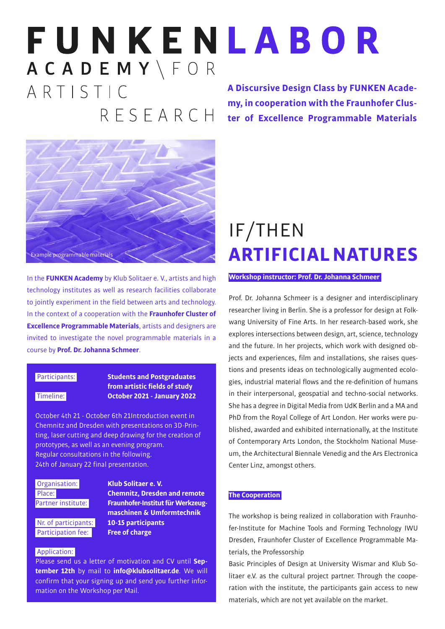## FUNKENLABOR ACADEMY\FOR ARTISTIC **A Discursive Design Class by FUNKEN Academy, in cooperation with the Fraunhofer Clus-**RFSFARCH **ter of Excellence Programmable Materials**



In the **FUNKEN Academy** by Klub Solitaer e. V., artists and high technology institutes as well as research facilities collaborate to jointly experiment in the field between arts and technology. In the context of a cooperation with the **Fraunhofer Cluster of Excellence Programmable Materials**, artists and designers are invited to investigate the novel programmable materials in a course by **Prof. Dr. Johanna Schmeer**.

### Participants: **Students and Postgraduates from artistic fields of study** Timeline: **October 2021 - January 2022**

October 4th 21 - October 6th 21Introduction event in Chemnitz and Dresden with presentations on 3D-Printing, laser cutting and deep drawing for the creation of prototypes, as well as an evening program. Regular consultations in the following. 24th of January 22 final presentation.

**Participation fee: Free of charge** 

### Organisation: **Klub Solitaer e. V.** Place: **Chemnitz, Dresden and remote** Partner institute: **Fraunhofer-Institut für Werkzeug maschinen & Umformtechnik** Nr. of participants: **10-15 participants**

### Application:

Please send us a letter of motivation and CV until **September 12th** by mail to **info@klubsolitaer.de**. We will confirm that your signing up and send you further information on the Workshop per Mail.

## IF/THEN **ARTIFICIAL NATURES**

#### **Workshop instructor: Prof. Dr. Johanna Schmeer**

Prof. Dr. Johanna Schmeer is a designer and interdisciplinary researcher living in Berlin. She is a professor for design at Folkwang University of Fine Arts. In her research-based work, she explores intersections between design, art, science, technology and the future. In her projects, which work with designed objects and experiences, film and installations, she raises questions and presents ideas on technologically augmented ecologies, industrial material flows and the re-definition of humans in their interpersonal, geospatial and techno-social networks. She has a degree in Digital Media from UdK Berlin and a MA and PhD from the Royal College of Art London. Her works were published, awarded and exhibited internationally, at the Institute of Contemporary Arts London, the Stockholm National Museum, the Architectural Biennale Venedig and the Ars Electronica Center Linz, amongst others.

#### **The Cooperation**

The workshop is being realized in collaboration with Fraunhofer-Institute for Machine Tools and Forming Technology IWU Dresden, Fraunhofer Cluster of Excellence Programmable Materials, the Professorship

Basic Principles of Design at University Wismar and Klub Solitaer e.V. as the cultural project partner. Through the cooperation with the institute, the participants gain access to new materials, which are not yet available on the market.